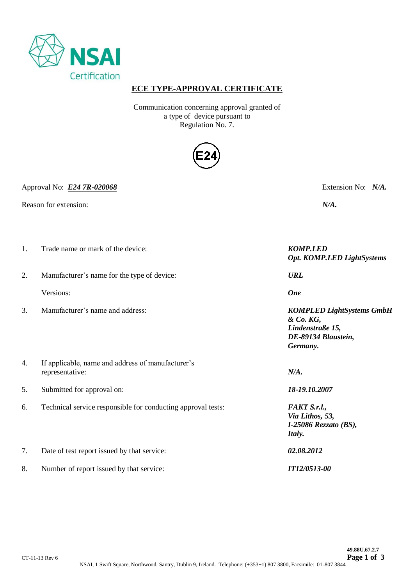

## **ECE TYPE-APPROVAL CERTIFICATE**

Communication concerning approval granted of a type of device pursuant to Regulation No. 7.



Approval No: *E24 7R-020068* Extension No: *N/A.*

Reason for extension: *N/A*.

| 1. | Trade name or mark of the device:                                    | <b>KOMP.LED</b><br>Opt. KOMP.LED LightSystems                                                        |
|----|----------------------------------------------------------------------|------------------------------------------------------------------------------------------------------|
| 2. | Manufacturer's name for the type of device:                          | <b>URL</b>                                                                                           |
|    | Versions:                                                            | <b>One</b>                                                                                           |
| 3. | Manufacturer's name and address:                                     | <b>KOMPLED LightSystems GmbH</b><br>& Co. KG,<br>Lindenstraße 15,<br>DE-89134 Blaustein,<br>Germany. |
| 4. | If applicable, name and address of manufacturer's<br>representative: | N/A.                                                                                                 |
| 5. | Submitted for approval on:                                           | 18-19.10.2007                                                                                        |
| 6. | Technical service responsible for conducting approval tests:         | FAKT S.r.l.,<br>Via Lithos, 53,<br>$I-25086$ Rezzato (BS),<br>Italy.                                 |
| 7. | Date of test report issued by that service:                          | 02.08.2012                                                                                           |
| 8. | Number of report issued by that service:                             | <b>IT12/0513-00</b>                                                                                  |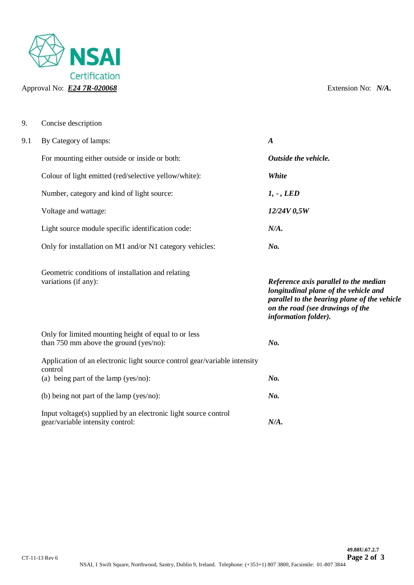

9. Concise description

| 9.1 | By Category of lamps:                                                                                                        | $\boldsymbol{A}$                                                                                                                                                                           |
|-----|------------------------------------------------------------------------------------------------------------------------------|--------------------------------------------------------------------------------------------------------------------------------------------------------------------------------------------|
|     | For mounting either outside or inside or both:                                                                               | Outside the vehicle.                                                                                                                                                                       |
|     | Colour of light emitted (red/selective yellow/white):                                                                        | White                                                                                                                                                                                      |
|     | Number, category and kind of light source:                                                                                   | $1, -$ , LED                                                                                                                                                                               |
|     | Voltage and wattage:                                                                                                         | 12/24V 0,5W                                                                                                                                                                                |
|     | Light source module specific identification code:                                                                            | N/A.                                                                                                                                                                                       |
|     | Only for installation on M1 and/or N1 category vehicles:                                                                     | No.                                                                                                                                                                                        |
|     | Geometric conditions of installation and relating<br>variations (if any):                                                    | Reference axis parallel to the median<br>longitudinal plane of the vehicle and<br>parallel to the bearing plane of the vehicle<br>on the road (see drawings of the<br>information folder). |
|     | Only for limited mounting height of equal to or less<br>than 750 mm above the ground (yes/no):                               | No.                                                                                                                                                                                        |
|     | Application of an electronic light source control gear/variable intensity<br>control<br>(a) being part of the lamp (yes/no): | No.                                                                                                                                                                                        |
|     | (b) being not part of the lamp (yes/no):                                                                                     | $N0$ .                                                                                                                                                                                     |
|     | Input voltage(s) supplied by an electronic light source control<br>gear/variable intensity control:                          | N/A.                                                                                                                                                                                       |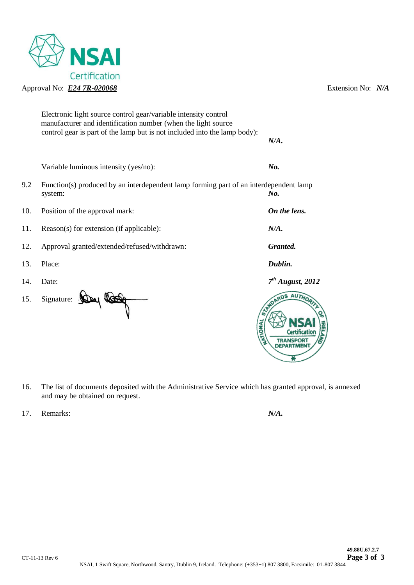

|     | Electronic light source control gear/variable intensity control<br>manufacturer and identification number (when the light source |                    |
|-----|----------------------------------------------------------------------------------------------------------------------------------|--------------------|
|     | control gear is part of the lamp but is not included into the lamp body):                                                        | N/A.               |
|     | Variable luminous intensity (yes/no):                                                                                            | No.                |
| 9.2 | Function(s) produced by an interdependent lamp forming part of an interdependent lamp<br>system:                                 | $N_{0}$ .          |
| 10. | Position of the approval mark:                                                                                                   | On the lens.       |
| 11. | Reason(s) for extension (if applicable):                                                                                         | N/A.               |
| 12. | Approval granted/extended/refused/withdrawn:                                                                                     | Granted.           |
| 13. | Place:                                                                                                                           | Dublin.            |
| 14. | Date:                                                                                                                            | $7th$ August, 2012 |
| 15. | Signature:<br><b>NAON</b>                                                                                                        | NDARDS AUTHO       |

- 16. The list of documents deposited with the Administrative Service which has granted approval, is annexed and may be obtained on request.
- 17. Remarks: *N/A.*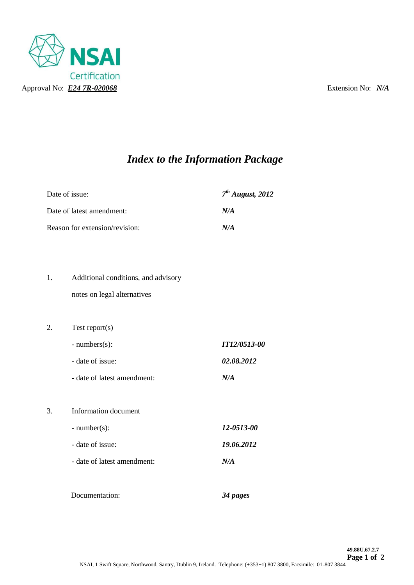

# *Index to the Information Package*

| Date of issue:                 | $7th$ August, 2012 |
|--------------------------------|--------------------|
| Date of latest amendment:      | N/A                |
| Reason for extension/revision: | N/A                |

- 1. Additional conditions, and advisory notes on legal alternatives
- 2. Test report(s)
	- numbers(s): *IT12/0513-00* - date of issue: *02.08.2012*
	- date of latest amendment: *N/A*

# 3. Information document

- number(s): *12-0513-00* - date of issue: *19.06.2012*  - date of latest amendment: *N/A*
- Documentation: *34 pages*